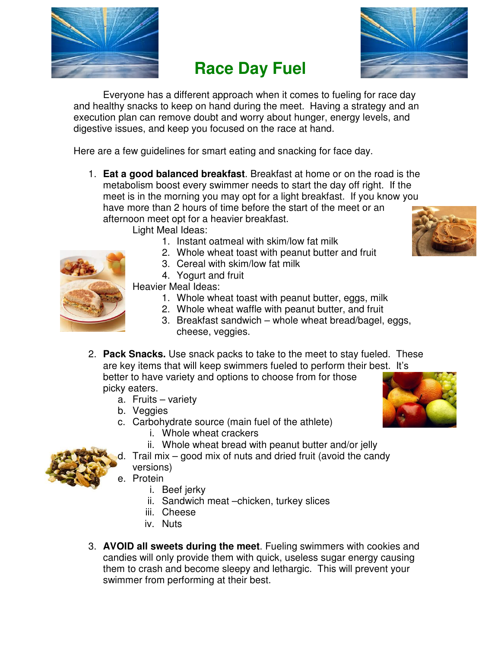

## **Race Day Fuel**



 Everyone has a different approach when it comes to fueling for race day and healthy snacks to keep on hand during the meet. Having a strategy and an execution plan can remove doubt and worry about hunger, energy levels, and digestive issues, and keep you focused on the race at hand.

Here are a few guidelines for smart eating and snacking for face day.

1. **Eat a good balanced breakfast**. Breakfast at home or on the road is the metabolism boost every swimmer needs to start the day off right. If the meet is in the morning you may opt for a light breakfast. If you know you have more than 2 hours of time before the start of the meet or an afternoon meet opt for a heavier breakfast.

Light Meal Ideas:

- 1. Instant oatmeal with skim/low fat milk
- 2. Whole wheat toast with peanut butter and fruit
- 3. Cereal with skim/low fat milk
- 4. Yogurt and fruit



Heavier Meal Ideas:

- 1. Whole wheat toast with peanut butter, eggs, milk
- 2. Whole wheat waffle with peanut butter, and fruit
- 3. Breakfast sandwich whole wheat bread/bagel, eggs, cheese, veggies.
- 2. **Pack Snacks.** Use snack packs to take to the meet to stay fueled. These are key items that will keep swimmers fueled to perform their best. It's better to have variety and options to choose from for those picky eaters.
	- a. Fruits variety
	- b. Veggies
	- c. Carbohydrate source (main fuel of the athlete)
		- i. Whole wheat crackers
		- ii. Whole wheat bread with peanut butter and/or jelly
	- d. Trail mix good mix of nuts and dried fruit (avoid the candy versions)
	- e. Protein
		- i. Beef jerky
		- ii. Sandwich meat –chicken, turkey slices
		- iii. Cheese
		- iv. Nuts
- 3. **AVOID all sweets during the meet**. Fueling swimmers with cookies and candies will only provide them with quick, useless sugar energy causing them to crash and become sleepy and lethargic. This will prevent your swimmer from performing at their best.